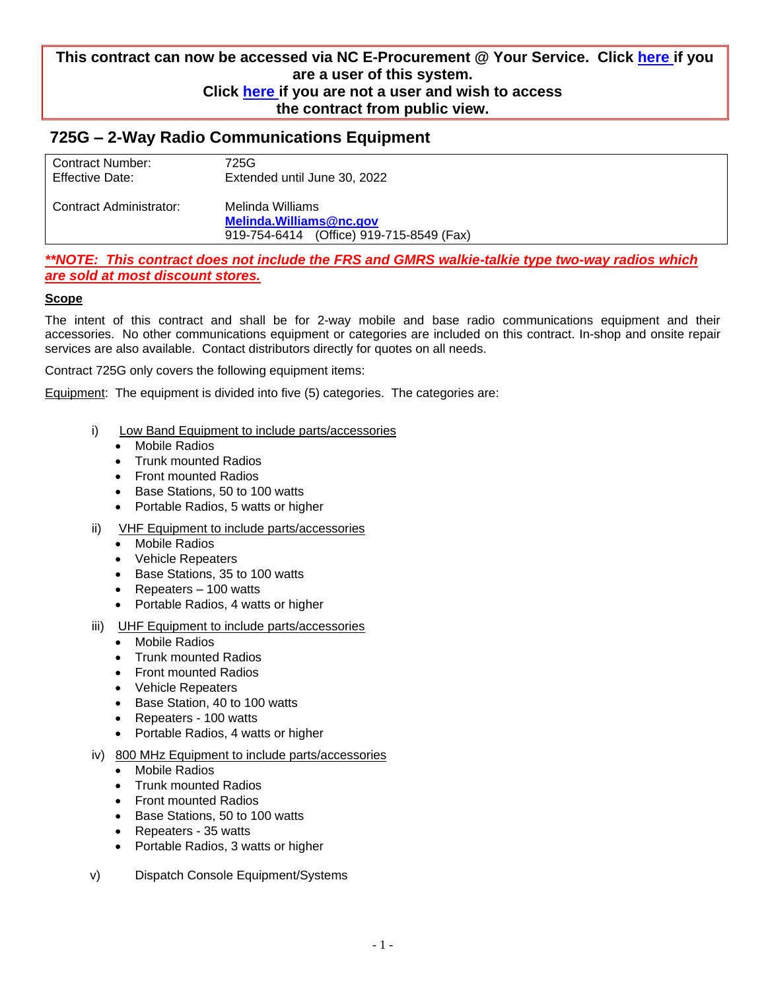## **This contract can now be accessed via NC E-Procurement @ Your Service. Click [here i](https://buyer.ncgov.com/)f you are a user of this system. Click [here i](http://eprocurement.nc.gov/)f you are not a user and wish to access the contract from public view.**

# **725G – 2-Way Radio Communications Equipment**

| Contract Number:<br><b>Effective Date:</b> | 725G<br>Extended until June 30, 2022         |  |  |
|--------------------------------------------|----------------------------------------------|--|--|
| Contract Administrator:                    | Melinda Williams<br>Melinda. Williams@nc.gov |  |  |
|                                            | 919-754-6414 (Office) 919-715-8549 (Fax)     |  |  |

*\*\*NOTE: This contract does not include the FRS and GMRS walkie-talkie type two-way radios which are sold at most discount stores.*

#### **Scope**

The intent of this contract and shall be for 2-way mobile and base radio communications equipment and their accessories. No other communications equipment or categories are included on this contract. In-shop and onsite repair services are also available. Contact distributors directly for quotes on all needs.

Contract 725G only covers the following equipment items:

Equipment: The equipment is divided into five (5) categories. The categories are:

- i) Low Band Equipment to include parts/accessories
	- Mobile Radios
	- Trunk mounted Radios
	- Front mounted Radios
	- Base Stations, 50 to 100 watts
	- Portable Radios, 5 watts or higher
- ii) VHF Equipment to include parts/accessories
	- Mobile Radios
	- Vehicle Repeaters
	- Base Stations, 35 to 100 watts
	- Repeaters 100 watts
	- Portable Radios, 4 watts or higher
- iii) UHF Equipment to include parts/accessories
	- Mobile Radios
	- Trunk mounted Radios
	- Front mounted Radios
	- Vehicle Repeaters
	- Base Station, 40 to 100 watts
	- Repeaters 100 watts
	- Portable Radios, 4 watts or higher
- iv) 800 MHz Equipment to include parts/accessories
	- Mobile Radios
	- Trunk mounted Radios
	- Front mounted Radios
	- Base Stations, 50 to 100 watts
	- Repeaters 35 watts
	- Portable Radios, 3 watts or higher
- v) Dispatch Console Equipment/Systems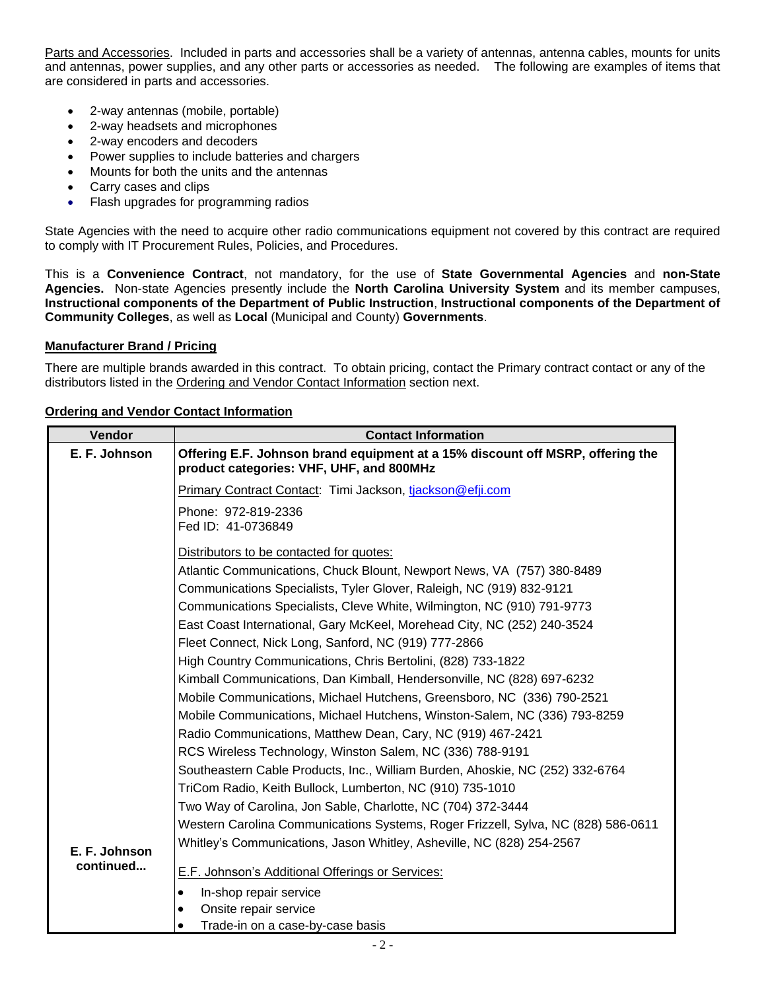Parts and Accessories. Included in parts and accessories shall be a variety of antennas, antenna cables, mounts for units and antennas, power supplies, and any other parts or accessories as needed. The following are examples of items that are considered in parts and accessories.

- 2-way antennas (mobile, portable)
- 2-way headsets and microphones
- 2-way encoders and decoders
- Power supplies to include batteries and chargers
- Mounts for both the units and the antennas
- Carry cases and clips
- Flash upgrades for programming radios

State Agencies with the need to acquire other radio communications equipment not covered by this contract are required to comply with IT Procurement Rules, Policies, and Procedures.

This is a **Convenience Contract**, not mandatory, for the use of **State Governmental Agencies** and **non-State Agencies.** Non-state Agencies presently include the **North Carolina University System** and its member campuses, **Instructional components of the Department of Public Instruction**, **Instructional components of the Department of Community Colleges**, as well as **Local** (Municipal and County) **Governments**.

#### **Manufacturer Brand / Pricing**

There are multiple brands awarded in this contract. To obtain pricing, contact the Primary contract contact or any of the distributors listed in the Ordering and Vendor Contact Information section next.

|  |  | <b>Ordering and Vendor Contact Information</b> |
|--|--|------------------------------------------------|
|  |  |                                                |

| Vendor        | <b>Contact Information</b>                                                                                                 |
|---------------|----------------------------------------------------------------------------------------------------------------------------|
| E. F. Johnson | Offering E.F. Johnson brand equipment at a 15% discount off MSRP, offering the<br>product categories: VHF, UHF, and 800MHz |
|               | Primary Contract Contact: Timi Jackson, tjackson@efji.com                                                                  |
|               | Phone: 972-819-2336<br>Fed ID: 41-0736849                                                                                  |
|               | Distributors to be contacted for quotes:                                                                                   |
|               | Atlantic Communications, Chuck Blount, Newport News, VA (757) 380-8489                                                     |
|               | Communications Specialists, Tyler Glover, Raleigh, NC (919) 832-9121                                                       |
|               | Communications Specialists, Cleve White, Wilmington, NC (910) 791-9773                                                     |
|               | East Coast International, Gary McKeel, Morehead City, NC (252) 240-3524                                                    |
|               | Fleet Connect, Nick Long, Sanford, NC (919) 777-2866                                                                       |
|               | High Country Communications, Chris Bertolini, (828) 733-1822                                                               |
|               | Kimball Communications, Dan Kimball, Hendersonville, NC (828) 697-6232                                                     |
|               | Mobile Communications, Michael Hutchens, Greensboro, NC (336) 790-2521                                                     |
|               | Mobile Communications, Michael Hutchens, Winston-Salem, NC (336) 793-8259                                                  |
|               | Radio Communications, Matthew Dean, Cary, NC (919) 467-2421                                                                |
|               | RCS Wireless Technology, Winston Salem, NC (336) 788-9191                                                                  |
|               | Southeastern Cable Products, Inc., William Burden, Ahoskie, NC (252) 332-6764                                              |
|               | TriCom Radio, Keith Bullock, Lumberton, NC (910) 735-1010                                                                  |
|               | Two Way of Carolina, Jon Sable, Charlotte, NC (704) 372-3444                                                               |
|               | Western Carolina Communications Systems, Roger Frizzell, Sylva, NC (828) 586-0611                                          |
| E. F. Johnson | Whitley's Communications, Jason Whitley, Asheville, NC (828) 254-2567                                                      |
| continued     | E.F. Johnson's Additional Offerings or Services:                                                                           |
|               | In-shop repair service<br>٠                                                                                                |
|               | Onsite repair service<br>$\bullet$                                                                                         |
|               | Trade-in on a case-by-case basis<br>$\bullet$                                                                              |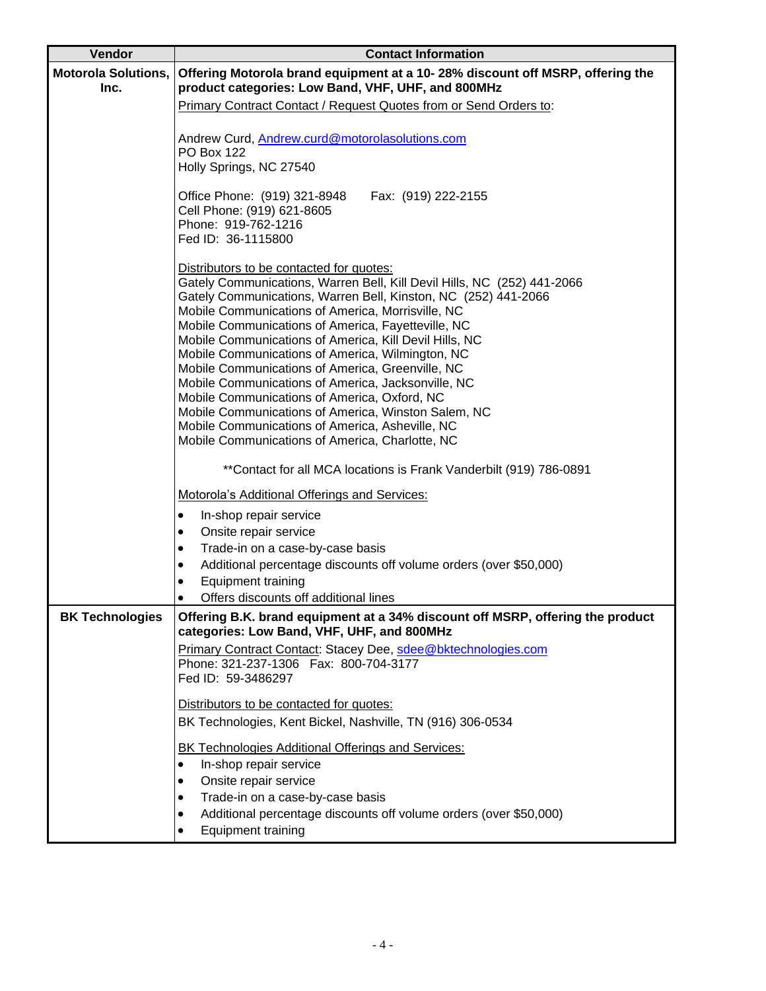| Vendor                             | <b>Contact Information</b>                                                                                                          |  |  |
|------------------------------------|-------------------------------------------------------------------------------------------------------------------------------------|--|--|
| <b>Motorola Solutions,</b><br>Inc. | Offering Motorola brand equipment at a 10-28% discount off MSRP, offering the<br>product categories: Low Band, VHF, UHF, and 800MHz |  |  |
|                                    | Primary Contract Contact / Request Quotes from or Send Orders to:                                                                   |  |  |
|                                    | Andrew Curd, Andrew.curd@motorolasolutions.com                                                                                      |  |  |
|                                    | <b>PO Box 122</b><br>Holly Springs, NC 27540                                                                                        |  |  |
|                                    | Office Phone: (919) 321-8948<br>Fax: (919) 222-2155                                                                                 |  |  |
|                                    | Cell Phone: (919) 621-8605<br>Phone: 919-762-1216                                                                                   |  |  |
|                                    | Fed ID: 36-1115800                                                                                                                  |  |  |
|                                    | Distributors to be contacted for quotes:                                                                                            |  |  |
|                                    | Gately Communications, Warren Bell, Kill Devil Hills, NC (252) 441-2066                                                             |  |  |
|                                    | Gately Communications, Warren Bell, Kinston, NC (252) 441-2066<br>Mobile Communications of America, Morrisville, NC                 |  |  |
|                                    | Mobile Communications of America, Fayetteville, NC                                                                                  |  |  |
|                                    | Mobile Communications of America, Kill Devil Hills, NC                                                                              |  |  |
|                                    | Mobile Communications of America, Wilmington, NC<br>Mobile Communications of America, Greenville, NC                                |  |  |
|                                    | Mobile Communications of America, Jacksonville, NC                                                                                  |  |  |
|                                    | Mobile Communications of America, Oxford, NC                                                                                        |  |  |
|                                    | Mobile Communications of America, Winston Salem, NC                                                                                 |  |  |
|                                    | Mobile Communications of America, Asheville, NC                                                                                     |  |  |
|                                    | Mobile Communications of America, Charlotte, NC                                                                                     |  |  |
|                                    | ** Contact for all MCA locations is Frank Vanderbilt (919) 786-0891                                                                 |  |  |
|                                    | <b>Motorola's Additional Offerings and Services:</b>                                                                                |  |  |
|                                    | In-shop repair service<br>$\bullet$                                                                                                 |  |  |
|                                    | Onsite repair service<br>$\bullet$                                                                                                  |  |  |
|                                    | Trade-in on a case-by-case basis<br>$\bullet$                                                                                       |  |  |
|                                    | Additional percentage discounts off volume orders (over \$50,000)<br>٠                                                              |  |  |
|                                    | <b>Equipment training</b><br>$\bullet$<br>Offers discounts off additional lines                                                     |  |  |
| <b>BK Technologies</b>             | Offering B.K. brand equipment at a 34% discount off MSRP, offering the product                                                      |  |  |
|                                    | categories: Low Band, VHF, UHF, and 800MHz                                                                                          |  |  |
|                                    | Primary Contract Contact: Stacey Dee, sdee@bktechnologies.com<br>Phone: 321-237-1306  Fax: 800-704-3177                             |  |  |
|                                    | Fed ID: 59-3486297                                                                                                                  |  |  |
|                                    |                                                                                                                                     |  |  |
|                                    | Distributors to be contacted for quotes:                                                                                            |  |  |
|                                    | BK Technologies, Kent Bickel, Nashville, TN (916) 306-0534                                                                          |  |  |
|                                    | <b>BK Technologies Additional Offerings and Services:</b>                                                                           |  |  |
|                                    | In-shop repair service<br>$\bullet$                                                                                                 |  |  |
|                                    | Onsite repair service<br>$\bullet$                                                                                                  |  |  |
|                                    | Trade-in on a case-by-case basis<br>$\bullet$                                                                                       |  |  |
|                                    | Additional percentage discounts off volume orders (over \$50,000)<br>٠                                                              |  |  |
|                                    | Equipment training                                                                                                                  |  |  |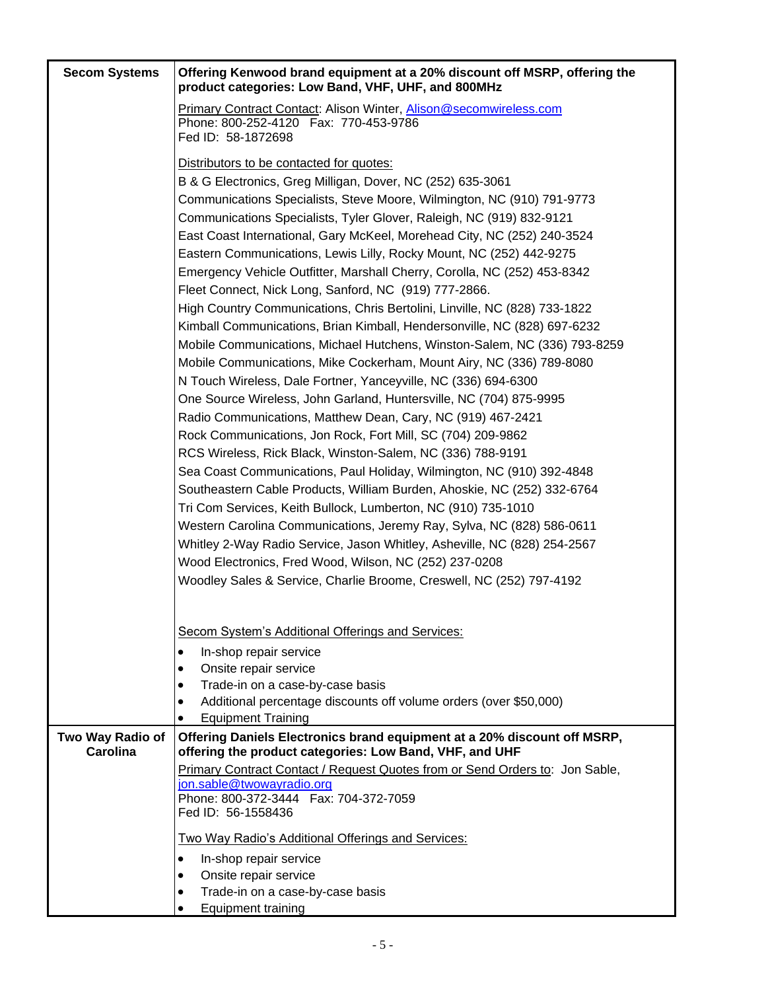| <b>Secom Systems</b>         | Offering Kenwood brand equipment at a 20% discount off MSRP, offering the                                                            |
|------------------------------|--------------------------------------------------------------------------------------------------------------------------------------|
|                              | product categories: Low Band, VHF, UHF, and 800MHz                                                                                   |
|                              | <b>Primary Contract Contact: Alison Winter, Alison@secomwireless.com</b>                                                             |
|                              | Phone: 800-252-4120  Fax: 770-453-9786<br>Fed ID: 58-1872698                                                                         |
|                              |                                                                                                                                      |
|                              | Distributors to be contacted for quotes:                                                                                             |
|                              | B & G Electronics, Greg Milligan, Dover, NC (252) 635-3061<br>Communications Specialists, Steve Moore, Wilmington, NC (910) 791-9773 |
|                              | Communications Specialists, Tyler Glover, Raleigh, NC (919) 832-9121                                                                 |
|                              | East Coast International, Gary McKeel, Morehead City, NC (252) 240-3524                                                              |
|                              | Eastern Communications, Lewis Lilly, Rocky Mount, NC (252) 442-9275                                                                  |
|                              | Emergency Vehicle Outfitter, Marshall Cherry, Corolla, NC (252) 453-8342                                                             |
|                              | Fleet Connect, Nick Long, Sanford, NC (919) 777-2866.                                                                                |
|                              | High Country Communications, Chris Bertolini, Linville, NC (828) 733-1822                                                            |
|                              | Kimball Communications, Brian Kimball, Hendersonville, NC (828) 697-6232                                                             |
|                              | Mobile Communications, Michael Hutchens, Winston-Salem, NC (336) 793-8259                                                            |
|                              | Mobile Communications, Mike Cockerham, Mount Airy, NC (336) 789-8080                                                                 |
|                              | N Touch Wireless, Dale Fortner, Yanceyville, NC (336) 694-6300                                                                       |
|                              | One Source Wireless, John Garland, Huntersville, NC (704) 875-9995                                                                   |
|                              | Radio Communications, Matthew Dean, Cary, NC (919) 467-2421                                                                          |
|                              | Rock Communications, Jon Rock, Fort Mill, SC (704) 209-9862                                                                          |
|                              | RCS Wireless, Rick Black, Winston-Salem, NC (336) 788-9191                                                                           |
|                              | Sea Coast Communications, Paul Holiday, Wilmington, NC (910) 392-4848                                                                |
|                              | Southeastern Cable Products, William Burden, Ahoskie, NC (252) 332-6764                                                              |
|                              | Tri Com Services, Keith Bullock, Lumberton, NC (910) 735-1010                                                                        |
|                              | Western Carolina Communications, Jeremy Ray, Sylva, NC (828) 586-0611                                                                |
|                              | Whitley 2-Way Radio Service, Jason Whitley, Asheville, NC (828) 254-2567                                                             |
|                              | Wood Electronics, Fred Wood, Wilson, NC (252) 237-0208<br>Woodley Sales & Service, Charlie Broome, Creswell, NC (252) 797-4192       |
|                              |                                                                                                                                      |
|                              |                                                                                                                                      |
|                              | Secom System's Additional Offerings and Services:                                                                                    |
|                              | In-shop repair service<br>$\bullet$                                                                                                  |
|                              | Onsite repair service<br>$\bullet$<br>Trade-in on a case-by-case basis<br>$\bullet$                                                  |
|                              | Additional percentage discounts off volume orders (over \$50,000)<br>$\bullet$                                                       |
|                              | <b>Equipment Training</b><br>$\bullet$                                                                                               |
| Two Way Radio of<br>Carolina | Offering Daniels Electronics brand equipment at a 20% discount off MSRP,<br>offering the product categories: Low Band, VHF, and UHF  |
|                              | Primary Contract Contact / Request Quotes from or Send Orders to: Jon Sable,                                                         |
|                              | jon.sable@twowayradio.org                                                                                                            |
|                              | Phone: 800-372-3444    Fax: 704-372-7059<br>Fed ID: 56-1558436                                                                       |
|                              | <b>Two Way Radio's Additional Offerings and Services:</b>                                                                            |
|                              | In-shop repair service<br>$\bullet$                                                                                                  |
|                              | Onsite repair service<br>$\bullet$                                                                                                   |
|                              | Trade-in on a case-by-case basis<br>$\bullet$                                                                                        |
|                              | Equipment training<br>$\bullet$                                                                                                      |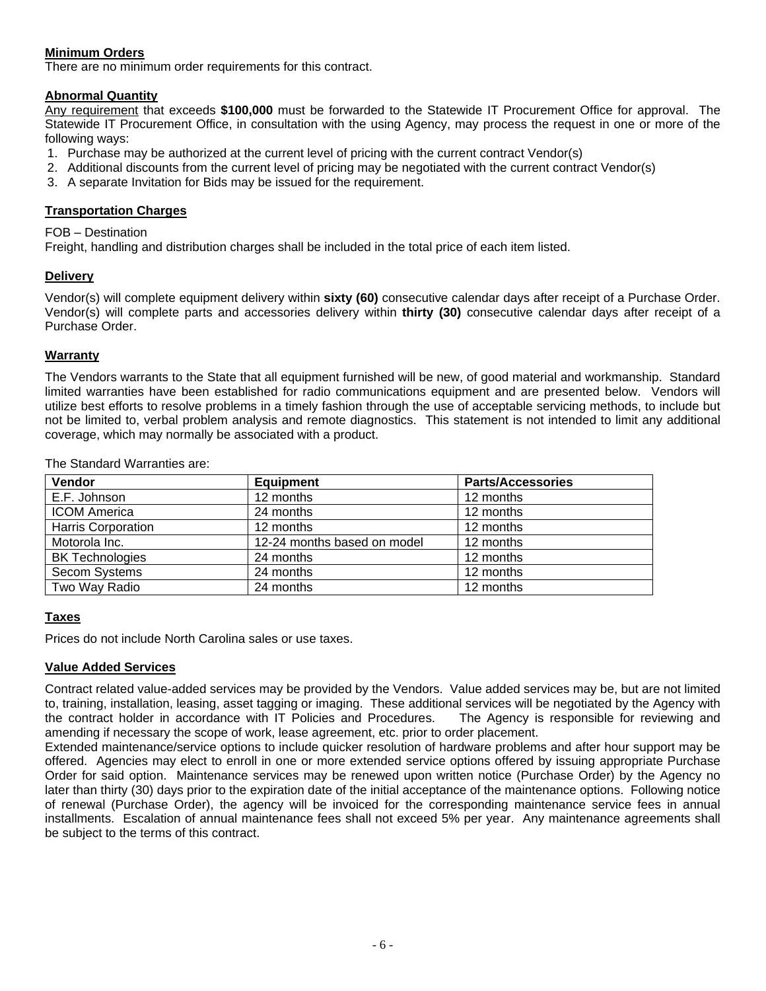## **Minimum Orders**

There are no minimum order requirements for this contract.

## **Abnormal Quantity**

Any requirement that exceeds **\$100,000** must be forwarded to the Statewide IT Procurement Office for approval. The Statewide IT Procurement Office, in consultation with the using Agency, may process the request in one or more of the following ways:

- 1. Purchase may be authorized at the current level of pricing with the current contract Vendor(s)
- 2. Additional discounts from the current level of pricing may be negotiated with the current contract Vendor(s)
- 3. A separate Invitation for Bids may be issued for the requirement.

#### **Transportation Charges**

FOB – Destination

Freight, handling and distribution charges shall be included in the total price of each item listed.

### **Delivery**

Vendor(s) will complete equipment delivery within **sixty (60)** consecutive calendar days after receipt of a Purchase Order. Vendor(s) will complete parts and accessories delivery within **thirty (30)** consecutive calendar days after receipt of a Purchase Order.

#### **Warranty**

The Vendors warrants to the State that all equipment furnished will be new, of good material and workmanship. Standard limited warranties have been established for radio communications equipment and are presented below. Vendors will utilize best efforts to resolve problems in a timely fashion through the use of acceptable servicing methods, to include but not be limited to, verbal problem analysis and remote diagnostics. This statement is not intended to limit any additional coverage, which may normally be associated with a product.

**Vendor Parts/Accessories** E.F. Johnson 12 months 12 months 12 months 12 months ICOM America 24 months 12 months Harris Corporation 12 months 12 months 12 months 12 months Motorola Inc. 12-24 months based on model 12 months BK Technologies 24 months 12 months 12 months Secom Systems 24 months 12 months 12 months Two Way Radio 24 months 12 months

The Standard Warranties are:

### **Taxes**

Prices do not include North Carolina sales or use taxes.

### **Value Added Services**

Contract related value-added services may be provided by the Vendors. Value added services may be, but are not limited to, training, installation, leasing, asset tagging or imaging. These additional services will be negotiated by the Agency with the contract holder in accordance with IT Policies and Procedures. The Agency is responsible for reviewing and amending if necessary the scope of work, lease agreement, etc. prior to order placement.

Extended maintenance/service options to include quicker resolution of hardware problems and after hour support may be offered. Agencies may elect to enroll in one or more extended service options offered by issuing appropriate Purchase Order for said option. Maintenance services may be renewed upon written notice (Purchase Order) by the Agency no later than thirty (30) days prior to the expiration date of the initial acceptance of the maintenance options. Following notice of renewal (Purchase Order), the agency will be invoiced for the corresponding maintenance service fees in annual installments. Escalation of annual maintenance fees shall not exceed 5% per year. Any maintenance agreements shall be subject to the terms of this contract.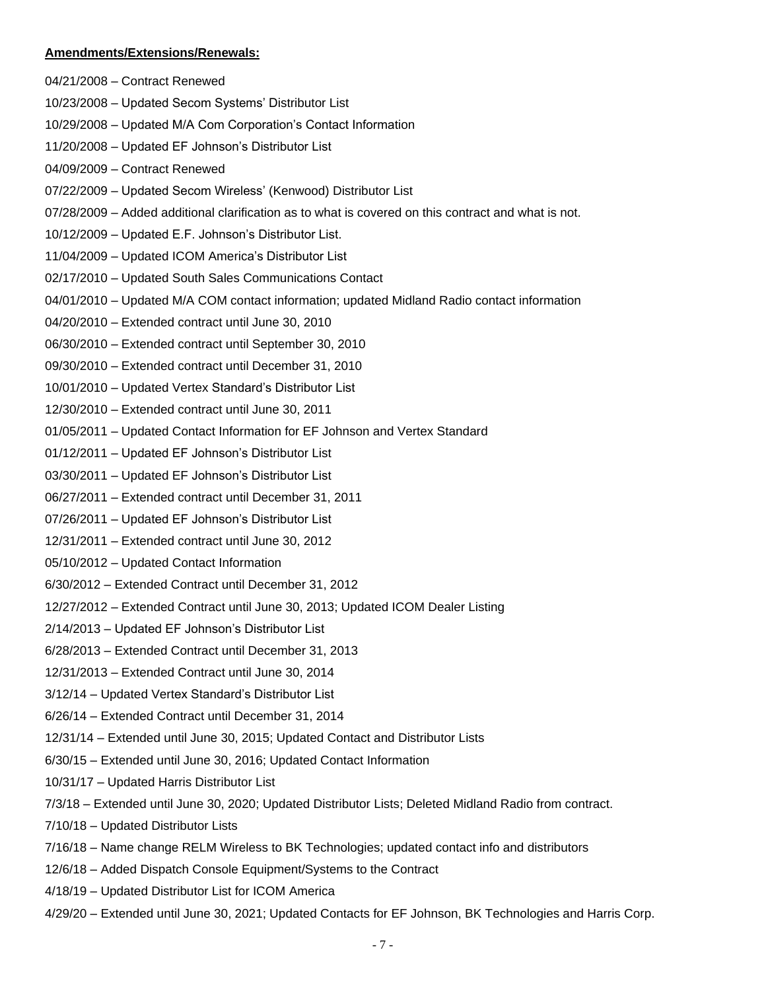#### **Amendments/Extensions/Renewals:**

- 04/21/2008 Contract Renewed
- 10/23/2008 Updated Secom Systems' Distributor List
- 10/29/2008 Updated M/A Com Corporation's Contact Information
- 11/20/2008 Updated EF Johnson's Distributor List
- 04/09/2009 Contract Renewed
- 07/22/2009 Updated Secom Wireless' (Kenwood) Distributor List
- 07/28/2009 Added additional clarification as to what is covered on this contract and what is not.
- 10/12/2009 Updated E.F. Johnson's Distributor List.
- 11/04/2009 Updated ICOM America's Distributor List
- 02/17/2010 Updated South Sales Communications Contact
- 04/01/2010 Updated M/A COM contact information; updated Midland Radio contact information
- 04/20/2010 Extended contract until June 30, 2010
- 06/30/2010 Extended contract until September 30, 2010
- 09/30/2010 Extended contract until December 31, 2010
- 10/01/2010 Updated Vertex Standard's Distributor List
- 12/30/2010 Extended contract until June 30, 2011
- 01/05/2011 Updated Contact Information for EF Johnson and Vertex Standard
- 01/12/2011 Updated EF Johnson's Distributor List
- 03/30/2011 Updated EF Johnson's Distributor List
- 06/27/2011 Extended contract until December 31, 2011
- 07/26/2011 Updated EF Johnson's Distributor List
- 12/31/2011 Extended contract until June 30, 2012
- 05/10/2012 Updated Contact Information
- 6/30/2012 Extended Contract until December 31, 2012
- 12/27/2012 Extended Contract until June 30, 2013; Updated ICOM Dealer Listing
- 2/14/2013 Updated EF Johnson's Distributor List
- 6/28/2013 Extended Contract until December 31, 2013
- 12/31/2013 Extended Contract until June 30, 2014
- 3/12/14 Updated Vertex Standard's Distributor List
- 6/26/14 Extended Contract until December 31, 2014
- 12/31/14 Extended until June 30, 2015; Updated Contact and Distributor Lists
- 6/30/15 Extended until June 30, 2016; Updated Contact Information
- 10/31/17 Updated Harris Distributor List
- 7/3/18 Extended until June 30, 2020; Updated Distributor Lists; Deleted Midland Radio from contract.
- 7/10/18 Updated Distributor Lists
- 7/16/18 Name change RELM Wireless to BK Technologies; updated contact info and distributors
- 12/6/18 Added Dispatch Console Equipment/Systems to the Contract
- 4/18/19 Updated Distributor List for ICOM America
- 4/29/20 Extended until June 30, 2021; Updated Contacts for EF Johnson, BK Technologies and Harris Corp.